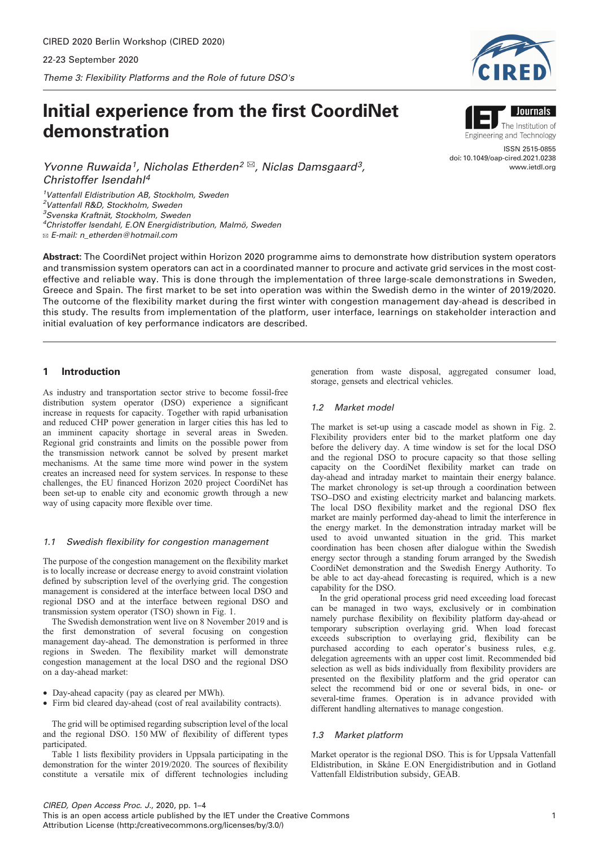# Initial experience from the first CoordiNet demonstration

Yvonne Ruwaida<sup>1</sup>, Nicholas Etherden<sup>2 $\boxtimes$ </sup>, Niclas Damsgaard<sup>3</sup>, Christoffer Isendahl4

<sup>1</sup>Vattenfall Eldistribution AB, Stockholm, Sweden <sup>2</sup>Vattenfall R&D, Stockholm, Sweden 3 Svenska Kraftnät, Stockholm, Sweden <sup>4</sup>Christoffer Isendahl, E.ON Energidistribution, Malmö, Sweden ✉ E-mail: n\_etherden@hotmail.com

Abstract: The CoordiNet project within Horizon 2020 programme aims to demonstrate how distribution system operators and transmission system operators can act in a coordinated manner to procure and activate grid services in the most costeffective and reliable way. This is done through the implementation of three large-scale demonstrations in Sweden, Greece and Spain. The first market to be set into operation was within the Swedish demo in the winter of 2019/2020. The outcome of the flexibility market during the first winter with congestion management day-ahead is described in this study. The results from implementation of the platform, user interface, learnings on stakeholder interaction and initial evaluation of key performance indicators are described.

# 1 Introduction

As industry and transportation sector strive to become fossil-free distribution system operator (DSO) experience a significant increase in requests for capacity. Together with rapid urbanisation and reduced CHP power generation in larger cities this has led to an imminent capacity shortage in several areas in Sweden. Regional grid constraints and limits on the possible power from the transmission network cannot be solved by present market mechanisms. At the same time more wind power in the system creates an increased need for system services. In response to these challenges, the EU financed Horizon 2020 project CoordiNet has been set-up to enable city and economic growth through a new way of using capacity more flexible over time.

## 1.1 Swedish flexibility for congestion management

The purpose of the congestion management on the flexibility market is to locally increase or decrease energy to avoid constraint violation defined by subscription level of the overlying grid. The congestion management is considered at the interface between local DSO and regional DSO and at the interface between regional DSO and transmission system operator (TSO) shown in Fig. [1](#page-1-0).

The Swedish demonstration went live on 8 November 2019 and is the first demonstration of several focusing on congestion management day-ahead. The demonstration is performed in three regions in Sweden. The flexibility market will demonstrate congestion management at the local DSO and the regional DSO on a day-ahead market:

- † Day-ahead capacity (pay as cleared per MWh).
- Firm bid cleared day-ahead (cost of real availability contracts).

The grid will be optimised regarding subscription level of the local and the regional DSO. 150 MW of flexibility of different types participated.

Table [1](#page-1-0) lists flexibility providers in Uppsala participating in the demonstration for the winter 2019/2020. The sources of flexibility constitute a versatile mix of different technologies including generation from waste disposal, aggregated consumer load, storage, gensets and electrical vehicles.

## 1.2 Market model

The market is set-up using a cascade model as shown in Fig. [2](#page-1-0). Flexibility providers enter bid to the market platform one day before the delivery day. A time window is set for the local DSO and the regional DSO to procure capacity so that those selling capacity on the CoordiNet flexibility market can trade on day-ahead and intraday market to maintain their energy balance. The market chronology is set-up through a coordination between TSO–DSO and existing electricity market and balancing markets. The local DSO flexibility market and the regional DSO flex market are mainly performed day-ahead to limit the interference in the energy market. In the demonstration intraday market will be used to avoid unwanted situation in the grid. This market coordination has been chosen after dialogue within the Swedish energy sector through a standing forum arranged by the Swedish CoordiNet demonstration and the Swedish Energy Authority. To be able to act day-ahead forecasting is required, which is a new capability for the DSO.

In the grid operational process grid need exceeding load forecast can be managed in two ways, exclusively or in combination namely purchase flexibility on flexibility platform day-ahead or temporary subscription overlaying grid. When load forecast exceeds subscription to overlaying grid, flexibility can be purchased according to each operator's business rules, e.g. delegation agreements with an upper cost limit. Recommended bid selection as well as bids individually from flexibility providers are presented on the flexibility platform and the grid operator can select the recommend bid or one or several bids, in one- or several-time frames. Operation is in advance provided with different handling alternatives to manage congestion.

## 1.3 Market platform

Market operator is the regional DSO. This is for Uppsala Vattenfall Eldistribution, in Skåne E.ON Energidistribution and in Gotland Vattenfall Eldistribution subsidy, GEAB.





www.ietdl.org

Engineering and Technology ISSN 2515-0855 doi: 10.1049/oap-cired.2021.0238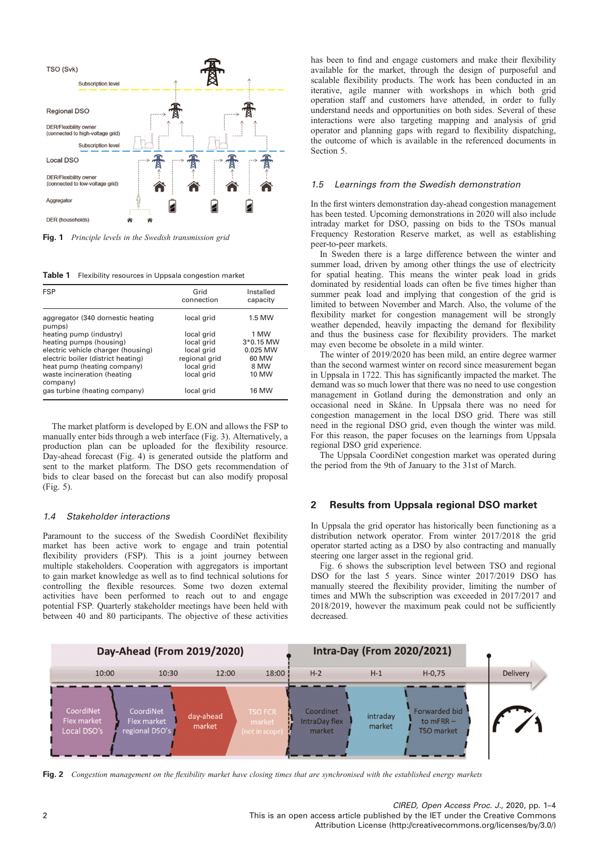<span id="page-1-0"></span>

Fig. 1 Principle levels in the Swedish transmission grid

Table 1 Flexibility resources in Uppsala congestion market

| <b>FSP</b>                                 | Grid<br>connection | Installed<br>capacity |
|--------------------------------------------|--------------------|-----------------------|
| aggregator (340 domestic heating<br>pumps) | local grid         | 1.5 MW                |
| heating pump (industry)                    | local grid         | 1 MW                  |
| heating pumps (housing)                    | local grid         | 3*0.15 MW             |
| electric vehicle charger (housing)         | local grid         | 0.025 MW              |
| electric boiler (district heating)         | regional grid      | 60 MW                 |
| heat pump (heating company)                | local grid         | 8 MW                  |
| waste incineration (heating<br>company)    | local grid         | 10 MW                 |
| gas turbine (heating company)              | local grid         | <b>16 MW</b>          |

The market platform is developed by E.ON and allows the FSP to manually enter bids through a web interface (Fig. [3](#page-2-0)). Alternatively, a production plan can be uploaded for the flexibility resource. Day-ahead forecast (Fig. [4\)](#page-2-0) is generated outside the platform and sent to the market platform. The DSO gets recommendation of bids to clear based on the forecast but can also modify proposal (Fig. [5\)](#page-2-0).

#### 1.4 Stakeholder interactions

Paramount to the success of the Swedish CoordiNet flexibility market has been active work to engage and train potential flexibility providers (FSP). This is a joint journey between multiple stakeholders. Cooperation with aggregators is important to gain market knowledge as well as to find technical solutions for controlling the flexible resources. Some two dozen external activities have been performed to reach out to and engage potential FSP. Quarterly stakeholder meetings have been held with between 40 and 80 participants. The objective of these activities has been to find and engage customers and make their flexibility available for the market, through the design of purposeful and scalable flexibility products. The work has been conducted in an iterative, agile manner with workshops in which both grid operation staff and customers have attended, in order to fully understand needs and opportunities on both sides. Several of these interactions were also targeting mapping and analysis of grid operator and planning gaps with regard to flexibility dispatching, the outcome of which is available in the referenced documents in Section 5.

#### 1.5 Learnings from the Swedish demonstration

In the first winters demonstration day-ahead congestion management has been tested. Upcoming demonstrations in 2020 will also include intraday market for DSO, passing on bids to the TSOs manual Frequency Restoration Reserve market, as well as establishing peer-to-peer markets.

In Sweden there is a large difference between the winter and summer load, driven by among other things the use of electricity for spatial heating. This means the winter peak load in grids dominated by residential loads can often be five times higher than summer peak load and implying that congestion of the grid is limited to between November and March. Also, the volume of the flexibility market for congestion management will be strongly weather depended, heavily impacting the demand for flexibility and thus the business case for flexibility providers. The market may even become be obsolete in a mild winter.

The winter of 2019/2020 has been mild, an entire degree warmer than the second warmest winter on record since measurement began in Uppsala in 1722. This has significantly impacted the market. The demand was so much lower that there was no need to use congestion management in Gotland during the demonstration and only an occasional need in Skåne. In Uppsala there was no need for congestion management in the local DSO grid. There was still need in the regional DSO grid, even though the winter was mild. For this reason, the paper focuses on the learnings from Uppsala regional DSO grid experience.

The Uppsala CoordiNet congestion market was operated during the period from the 9th of January to the 31st of March.

### 2 Results from Uppsala regional DSO market

In Uppsala the grid operator has historically been functioning as a distribution network operator. From winter 2017/2018 the grid operator started acting as a DSO by also contracting and manually steering one larger asset in the regional grid.

Fig. [6](#page-2-0) shows the subscription level between TSO and regional DSO for the last 5 years. Since winter 2017/2019 DSO has manually steered the flexibility provider, limiting the number of times and MWh the subscription was exceeded in 2017/2017 and 2018/2019, however the maximum peak could not be sufficiently decreased.



Fig. 2 Congestion management on the flexibility market have closing times that are synchronised with the established energy markets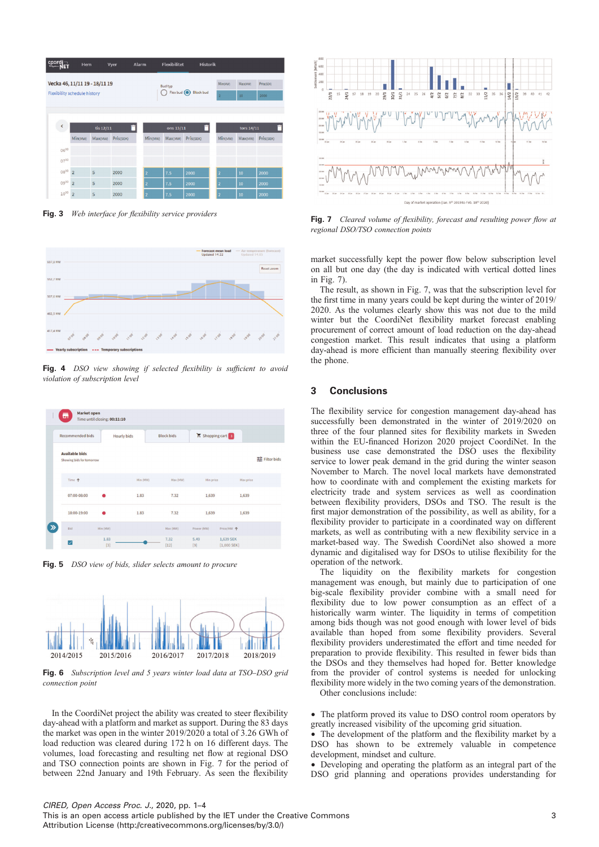<span id="page-2-0"></span>

| coordi <sub>n</sub>                 | Hem            |         | Vyer      | Alarm              | <b>Flexibilitet</b> | <b>Historik</b> |                |         |           |
|-------------------------------------|----------------|---------|-----------|--------------------|---------------------|-----------------|----------------|---------|-----------|
| Vecka 46, 11/11 19 - 18/11 19       |                |         |           |                    | <b>Bud typ</b>      |                 | Min(MW)        | Max(MW) | Pris(SEK) |
| <b>Flexibility schedule history</b> |                |         |           | Flex bud Block bud |                     | $\overline{2}$  | 10             | 2000    |           |
|                                     |                |         |           |                    |                     |                 |                |         |           |
| $\breve{\phantom{a}}$               | tis 12/11      |         |           | ons 13/11          |                     |                 | tors 14/11     |         |           |
|                                     | Min(MW)        | Max(MW) | Pris(SEK) | Min(MW)            | Max(MW)             | Pris(SEK)       | Min(MW)        | Max(MW) | Pris(SEK) |
| 0600                                |                |         |           |                    |                     |                 |                |         |           |
| 0700                                |                |         |           |                    |                     |                 |                |         |           |
| $08^{00}$                           | $\overline{2}$ | 5       | 2000      | 2                  | 7.5                 | 2000            | $\overline{ }$ | 10      | 2000      |
| 0900                                | $\overline{2}$ | 5       | 2000      | 12                 | 7.5                 | 2000            | $\overline{ }$ | 10      | 2000      |
| $10^{00}$                           | $\overline{2}$ | 5       | 2000      | 12                 | 7.5                 | 2000            |                | 10      | 2000      |

Fig. 3 Web interface for flexibility service providers



Fig. 4 DSO view showing if selected flexibility is sufficient to avoid violation of subscription level



Fig. 5 DSO view of bids, slider selects amount to procure



Fig. 6 Subscription level and 5 years winter load data at TSO–DSO grid connection point

In the CoordiNet project the ability was created to steer flexibility day-ahead with a platform and market as support. During the 83 days the market was open in the winter 2019/2020 a total of 3.26 GWh of load reduction was cleared during 172 h on 16 different days. The volumes, load forecasting and resulting net flow at regional DSO and TSO connection points are shown in Fig. 7 for the period of between 22nd January and 19th February. As seen the flexibility



Fig. 7 Cleared volume of flexibility, forecast and resulting power flow at regional DSO/TSO connection points

market successfully kept the power flow below subscription level on all but one day (the day is indicated with vertical dotted lines in Fig. 7).

The result, as shown in Fig. 7, was that the subscription level for the first time in many years could be kept during the winter of 2019/ 2020. As the volumes clearly show this was not due to the mild winter but the CoordiNet flexibility market forecast enabling procurement of correct amount of load reduction on the day-ahead congestion market. This result indicates that using a platform day-ahead is more efficient than manually steering flexibility over the phone.

## 3 Conclusions

The flexibility service for congestion management day-ahead has successfully been demonstrated in the winter of 2019/2020 on three of the four planned sites for flexibility markets in Sweden within the EU-financed Horizon 2020 project CoordiNet. In the business use case demonstrated the DSO uses the flexibility service to lower peak demand in the grid during the winter season November to March. The novel local markets have demonstrated how to coordinate with and complement the existing markets for electricity trade and system services as well as coordination between flexibility providers, DSOs and TSO. The result is the first major demonstration of the possibility, as well as ability, for a flexibility provider to participate in a coordinated way on different markets, as well as contributing with a new flexibility service in a market-based way. The Swedish CoordiNet also showed a more dynamic and digitalised way for DSOs to utilise flexibility for the operation of the network.

The liquidity on the flexibility markets for congestion management was enough, but mainly due to participation of one big-scale flexibility provider combine with a small need for flexibility due to low power consumption as an effect of a historically warm winter. The liquidity in terms of competition among bids though was not good enough with lower level of bids available than hoped from some flexibility providers. Several flexibility providers underestimated the effort and time needed for preparation to provide flexibility. This resulted in fewer bids than the DSOs and they themselves had hoped for. Better knowledge from the provider of control systems is needed for unlocking flexibility more widely in the two coming years of the demonstration. Other conclusions include:

• The platform proved its value to DSO control room operators by greatly increased visibility of the upcoming grid situation.

• The development of the platform and the flexibility market by a DSO has shown to be extremely valuable in competence development, mindset and culture.

† Developing and operating the platform as an integral part of the DSO grid planning and operations provides understanding for